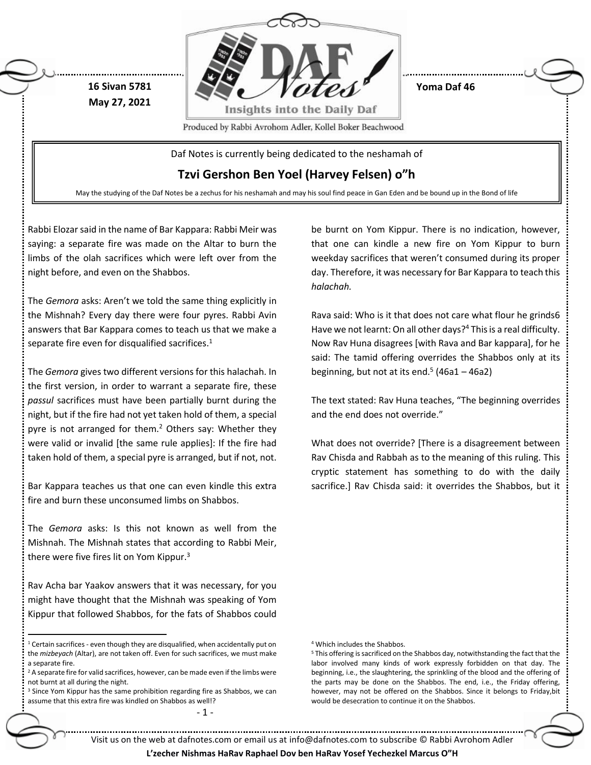

**Yoma Daf 46**

Produced by Rabbi Avrohom Adler, Kollel Boker Beachwood

Daf Notes is currently being dedicated to the neshamah of

**Tzvi Gershon Ben Yoel (Harvey Felsen) o"h**

May the studying of the Daf Notes be a zechus for his neshamah and may his soul find peace in Gan Eden and be bound up in the Bond of life

Rabbi Elozar said in the name of Bar Kappara: Rabbi Meir was saying: a separate fire was made on the Altar to burn the limbs of the olah sacrifices which were left over from the night before, and even on the Shabbos.

**16 Sivan 5781 May 27, 2021**

The *Gemora* asks: Aren't we told the same thing explicitly in the Mishnah? Every day there were four pyres. Rabbi Avin answers that Bar Kappara comes to teach us that we make a separate fire even for disqualified sacrifices. $1$ 

The *Gemora* gives two different versions for this halachah. In the first version, in order to warrant a separate fire, these *passul* sacrifices must have been partially burnt during the night, but if the fire had not yet taken hold of them, a special pyre is not arranged for them.<sup>2</sup> Others say: Whether they were valid or invalid [the same rule applies]: If the fire had taken hold of them, a special pyre is arranged, but if not, not.

Bar Kappara teaches us that one can even kindle this extra fire and burn these unconsumed limbs on Shabbos.

The *Gemora* asks: Is this not known as well from the Mishnah. The Mishnah states that according to Rabbi Meir, there were five fires lit on Yom Kippur.<sup>3</sup>

Rav Acha bar Yaakov answers that it was necessary, for you might have thought that the Mishnah was speaking of Yom Kippur that followed Shabbos, for the fats of Shabbos could

 $\ddot{\phantom{a}}$ 

<sup>3</sup> Since Yom Kippur has the same prohibition regarding fire as Shabbos, we can assume that this extra fire was kindled on Shabbos as well!?

- 1 -

be burnt on Yom Kippur. There is no indication, however, that one can kindle a new fire on Yom Kippur to burn weekday sacrifices that weren't consumed during its proper day. Therefore, it was necessary for Bar Kappara to teach this *halachah.*

Rava said: Who is it that does not care what flour he grinds6 Have we not learnt: On all other days?<sup>4</sup> This is a real difficulty. Now Rav Huna disagrees [with Rava and Bar kappara], for he said: The tamid offering overrides the Shabbos only at its beginning, but not at its end. $5(46a1 - 46a2)$ 

The text stated: Rav Huna teaches, "The beginning overrides and the end does not override."

What does not override? [There is a disagreement between Rav Chisda and Rabbah as to the meaning of this ruling. This cryptic statement has something to do with the daily sacrifice.] Rav Chisda said: it overrides the Shabbos, but it

<sup>4</sup> Which includes the Shabbos.

<sup>5</sup> This offering is sacrificed on the Shabbos day, notwithstanding the fact that the labor involved many kinds of work expressly forbidden on that day. The beginning, i.e., the slaughtering, the sprinkling of the blood and the offering of the parts may be done on the Shabbos. The end, i.e., the Friday offering, however, may not be offered on the Shabbos. Since it belongs to Friday,bit would be desecration to continue it on the Shabbos.

Visit us on the web at dafnotes.com or email us at [info@dafnotes.com](mailto:info@dafnotes.com) to subscribe © Rabbi Avrohom Adler

**L'zecher Nishmas HaRav Raphael Dov ben HaRav Yosef Yechezkel Marcus O"H**

 $1$  Certain sacrifices - even though they are disqualified, when accidentally put on the *mizbeyach* (Altar), are not taken off. Even for such sacrifices, we must make a separate fire.

 $2A$  separate fire for valid sacrifices, however, can be made even if the limbs were not burnt at all during the night.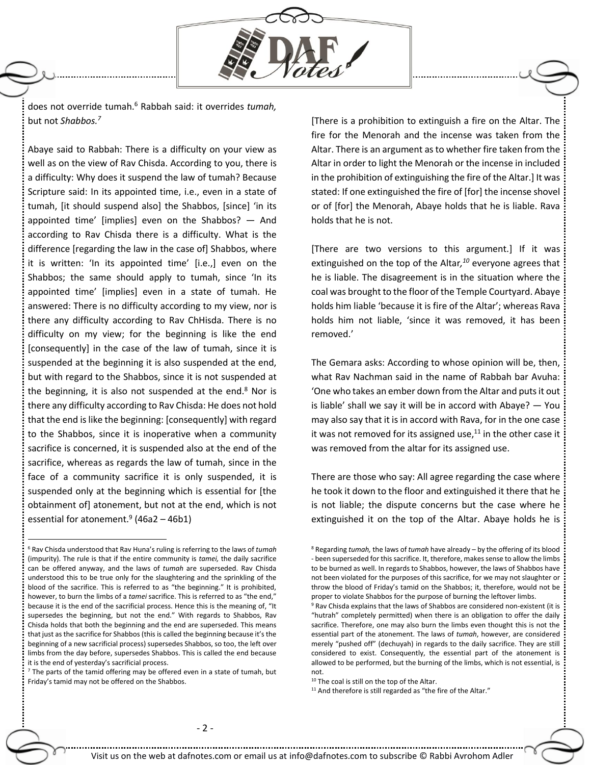

does not override tumah.<sup>6</sup> Rabbah said: it overrides *tumah,* but not *Shabbos.<sup>7</sup>*

Abaye said to Rabbah: There is a difficulty on your view as well as on the view of Rav Chisda. According to you, there is a difficulty: Why does it suspend the law of tumah? Because Scripture said: In its appointed time, i.e., even in a state of tumah, [it should suspend also] the Shabbos, [since] 'in its appointed time' [implies] even on the Shabbos? — And according to Rav Chisda there is a difficulty. What is the difference [regarding the law in the case of] Shabbos, where it is written: 'In its appointed time' [i.e.,] even on the Shabbos; the same should apply to tumah, since 'In its appointed time' [implies] even in a state of tumah. He answered: There is no difficulty according to my view, nor is there any difficulty according to Rav ChHisda. There is no difficulty on my view; for the beginning is like the end [consequently] in the case of the law of tumah, since it is suspended at the beginning it is also suspended at the end, but with regard to the Shabbos, since it is not suspended at the beginning, it is also not suspended at the end. $8$  Nor is there any difficulty according to Rav Chisda: He does not hold that the end is like the beginning: [consequently] with regard to the Shabbos, since it is inoperative when a community sacrifice is concerned, it is suspended also at the end of the sacrifice, whereas as regards the law of tumah, since in the face of a community sacrifice it is only suspended, it is suspended only at the beginning which is essential for [the obtainment of] atonement, but not at the end, which is not essential for atonement.<sup>9</sup> (46a2 – 46b1)

 $\overline{a}$ 

[There is a prohibition to extinguish a fire on the Altar. The fire for the Menorah and the incense was taken from the Altar. There is an argument as to whether fire taken from the Altar in order to light the Menorah or the incense in included in the prohibition of extinguishing the fire of the Altar.] It was stated: If one extinguished the fire of [for] the incense shovel or of [for] the Menorah, Abaye holds that he is liable. Rava holds that he is not.

[There are two versions to this argument.] If it was extinguished on the top of the Altar*, <sup>10</sup>* everyone agrees that he is liable. The disagreement is in the situation where the coal was brought to the floor of the Temple Courtyard. Abaye holds him liable 'because it is fire of the Altar'; whereas Rava holds him not liable, 'since it was removed, it has been removed.'

The Gemara asks: According to whose opinion will be, then, what Rav Nachman said in the name of Rabbah bar Avuha: 'One who takes an ember down from the Altar and puts it out is liable' shall we say it will be in accord with Abaye? — You may also say that it is in accord with Rava, for in the one case it was not removed for its assigned use, $^{11}$  in the other case it was removed from the altar for its assigned use.

There are those who say: All agree regarding the case where he took it down to the floor and extinguished it there that he is not liable; the dispute concerns but the case where he extinguished it on the top of the Altar. Abaye holds he is

<sup>6</sup> Rav Chisda understood that Rav Huna's ruling is referring to the laws of *tumah*  (impurity). The rule is that if the entire community is *tamei,* the daily sacrifice can be offered anyway, and the laws of *tumah* are superseded. Rav Chisda understood this to be true only for the slaughtering and the sprinkling of the blood of the sacrifice. This is referred to as "the beginning." It is prohibited, however, to burn the limbs of a *tamei* sacrifice. This is referred to as "the end," because it is the end of the sacrificial process. Hence this is the meaning of, "It supersedes the beginning, but not the end." With regards to Shabbos, Rav Chisda holds that both the beginning and the end are superseded. This means that just as the sacrifice for Shabbos (this is called the beginning because it's the beginning of a new sacrificial process) supersedes Shabbos, so too, the left over limbs from the day before, supersedes Shabbos. This is called the end because it is the end of yesterday's sacrificial process.

<sup>&</sup>lt;sup>7</sup> The parts of the tamid offering may be offered even in a state of tumah, but Friday's tamid may not be offered on the Shabbos.

<sup>8</sup> Regarding *tumah,* the laws of *tumah* have already – by the offering of its blood - been superseded for this sacrifice. It, therefore, makes sense to allow the limbs to be burned as well. In regards to Shabbos, however, the laws of Shabbos have not been violated for the purposes of this sacrifice, for we may not slaughter or throw the blood of Friday's tamid on the Shabbos; it, therefore, would not be proper to violate Shabbos for the purpose of burning the leftover limbs.

<sup>&</sup>lt;sup>9</sup> Rav Chisda explains that the laws of Shabbos are considered non-existent (it is "hutrah" completely permitted) when there is an obligation to offer the daily sacrifice. Therefore, one may also burn the limbs even thought this is not the essential part of the atonement. The laws of *tumah*, however, are considered merely "pushed off" (dechuyah) in regards to the daily sacrifice. They are still considered to exist. Consequently, the essential part of the atonement is allowed to be performed, but the burning of the limbs, which is not essential, is not.

<sup>10</sup> The coal is still on the top of the Altar.

<sup>&</sup>lt;sup>11</sup> And therefore is still regarded as "the fire of the Altar."